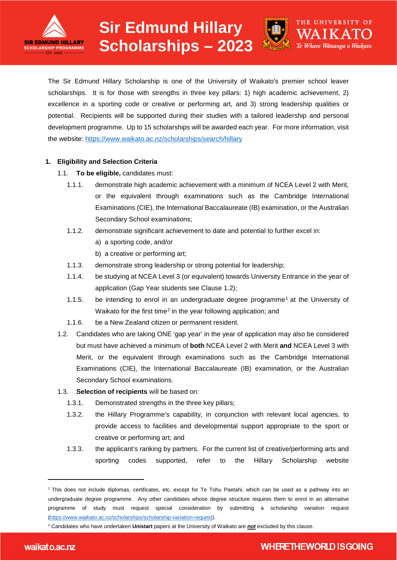



THE UNIVERSITY OF

Te Whare Wānanga o Waikato

The Sir Edmund Hillary Scholarship is one of the University of Waikato's premier school leaver scholarships. It is for those with strengths in three key pillars: 1) high academic achievement. 2) excellence in a sporting code or creative or performing art, and 3) strong leadership qualities or potential. Recipients will be supported during their studies with a tailored leadership and personal development programme. Up to 15 scholarships will be awarded each year. For more information, visit the website: <https://www.waikato.ac.nz/scholarships/search/hillary>

## **1. Eligibility and Selection Criteria**

- 1.1. **To be eligible,** candidates must:
	- 1.1.1. demonstrate high academic achievement with a minimum of NCEA Level 2 with Merit, or the equivalent through examinations such as the Cambridge International Examinations (CIE), the International Baccalaureate (IB) examination, or the Australian Secondary School examinations;
	- 1.1.2. demonstrate significant achievement to date and potential to further excel in:
		- a) a sporting code, and/or
		- b) a creative or performing art;
	- 1.1.3. demonstrate strong leadership or strong potential for leadership;
	- 1.1.4. be studying at NCEA Level 3 (or equivalent) towards University Entrance in the year of application (Gap Year students see Clause 1.2);
	- 1.1.5. be intending to enrol in an undergraduate degree programme[1](#page-0-0) at the University of Waikato for the first time<sup>[2](#page-0-1)</sup> in the year following application; and
	- 1.1.6. be a New Zealand citizen or permanent resident.
- 1.2. Candidates who are taking ONE 'gap year' in the year of application may also be considered but must have achieved a minimum of **both** NCEA Level 2 with Merit **and** NCEA Level 3 with Merit, or the equivalent through examinations such as the Cambridge International Examinations (CIE), the International Baccalaureate (IB) examination, or the Australian Secondary School examinations.

## 1.3. **Selection of recipients** will be based on:

- 1.3.1. Demonstrated strengths in the three key pillars;
- 1.3.2. the Hillary Programme's capability, in conjunction with relevant local agencies, to provide access to facilities and developmental support appropriate to the sport or creative or performing art; and
- 1.3.3. the applicant's ranking by partners. For the current list of creative/performing arts and sporting codes supported, refer to the Hillary Scholarship website

<span id="page-0-0"></span><sup>—&</sup>lt;br>— <sup>1</sup> This does not include diplomas, certificates, etc. except for Te Tohu Paetahi, which can be used as a pathway into an undergraduate degree programme. Any other candidates whose degree structure requires them to enrol in an alternative programme of study must request special consideration by submitting a scholarship variation request [\(https://www.waikato.ac.nz/scholarships/scholarship-variation-request\)](https://www.waikato.ac.nz/scholarships/scholarship-variation-request).

<span id="page-0-1"></span><sup>2</sup> Candidates who have undertaken **Unistart** papers at the University of Waikato are *not* excluded by this clause.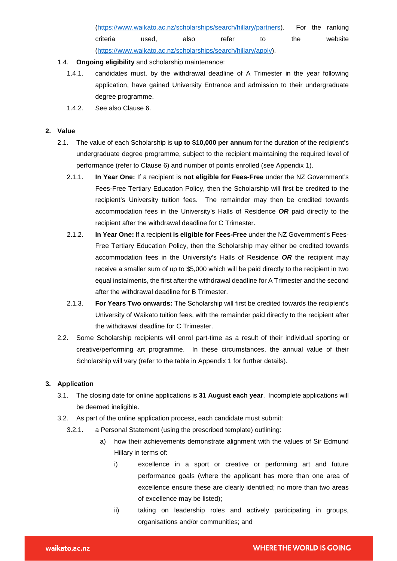[\(https://www.waikato.ac.nz/scholarships/search/hillary/partners\)](https://www.waikato.ac.nz/scholarships/search/hillary/partners). For the ranking criteria used, also refer to the website [\(https://www.waikato.ac.nz/scholarships/search/hillary/apply\)](https://www.waikato.ac.nz/scholarships/search/hillary/apply).

- 1.4. **Ongoing eligibility** and scholarship maintenance:
	- 1.4.1. candidates must, by the withdrawal deadline of A Trimester in the year following application, have gained University Entrance and admission to their undergraduate degree programme.
	- 1.4.2. See also Clause 6.

#### **2. Value**

- 2.1. The value of each Scholarship is **up to \$10,000 per annum** for the duration of the recipient's undergraduate degree programme, subject to the recipient maintaining the required level of performance (refer to Clause 6) and number of points enrolled (see Appendix 1).
	- 2.1.1. **In Year One:** If a recipient is **not eligible for Fees-Free** under the NZ Government's Fees-Free Tertiary Education Policy, then the Scholarship will first be credited to the recipient's University tuition fees. The remainder may then be credited towards accommodation fees in the University's Halls of Residence *OR* paid directly to the recipient after the withdrawal deadline for C Trimester.
	- 2.1.2. **In Year One:** If a recipient **is eligible for Fees-Free** under the NZ Government's Fees-Free Tertiary Education Policy, then the Scholarship may either be credited towards accommodation fees in the University's Halls of Residence *OR* the recipient may receive a smaller sum of up to \$5,000 which will be paid directly to the recipient in two equal instalments, the first after the withdrawal deadline for A Trimester and the second after the withdrawal deadline for B Trimester.
	- 2.1.3. **For Years Two onwards:** The Scholarship will first be credited towards the recipient's University of Waikato tuition fees, with the remainder paid directly to the recipient after the withdrawal deadline for C Trimester.
- 2.2. Some Scholarship recipients will enrol part-time as a result of their individual sporting or creative/performing art programme. In these circumstances, the annual value of their Scholarship will vary (refer to the table in Appendix 1 for further details).

## **3. Application**

- 3.1. The closing date for online applications is **31 August each year**. Incomplete applications will be deemed ineligible.
- 3.2. As part of the online application process, each candidate must submit:
	- 3.2.1. a Personal Statement (using the prescribed template) outlining:
		- a) how their achievements demonstrate alignment with the values of Sir Edmund Hillary in terms of:
			- i) excellence in a sport or creative or performing art and future performance goals (where the applicant has more than one area of excellence ensure these are clearly identified; no more than two areas of excellence may be listed);
			- ii) taking on leadership roles and actively participating in groups, organisations and/or communities; and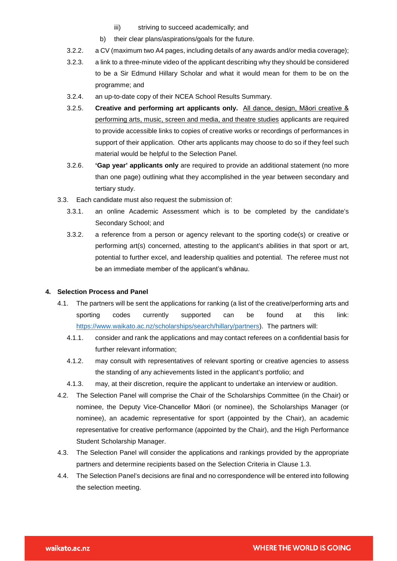- iii) striving to succeed academically; and
- b) their clear plans/aspirations/goals for the future.
- 3.2.2. a CV (maximum two A4 pages, including details of any awards and/or media coverage);
- 3.2.3. a link to a three-minute video of the applicant describing why they should be considered to be a Sir Edmund Hillary Scholar and what it would mean for them to be on the programme; and
- 3.2.4. an up-to-date copy of their NCEA School Results Summary.
- 3.2.5. **Creative and performing art applicants only.** All dance, design, Māori creative & performing arts, music, screen and media, and theatre studies applicants are required to provide accessible links to copies of creative works or recordings of performances in support of their application. Other arts applicants may choose to do so if they feel such material would be helpful to the Selection Panel.
- 3.2.6. **'Gap year' applicants only** are required to provide an additional statement (no more than one page) outlining what they accomplished in the year between secondary and tertiary study.
- 3.3. Each candidate must also request the submission of:
	- 3.3.1. an online Academic Assessment which is to be completed by the candidate's Secondary School; and
	- 3.3.2. a reference from a person or agency relevant to the sporting code(s) or creative or performing art(s) concerned, attesting to the applicant's abilities in that sport or art, potential to further excel, and leadership qualities and potential. The referee must not be an immediate member of the applicant's whānau.

#### **4. Selection Process and Panel**

- 4.1. The partners will be sent the applications for ranking (a list of the creative/performing arts and sporting codes currently supported can be found at this link: [https://www.waikato.ac.nz/scholarships/search/hillary/partners\)](https://www.waikato.ac.nz/scholarships/search/hillary/partners). The partners will:
	- 4.1.1. consider and rank the applications and may contact referees on a confidential basis for further relevant information;
	- 4.1.2. may consult with representatives of relevant sporting or creative agencies to assess the standing of any achievements listed in the applicant's portfolio; and
	- 4.1.3. may, at their discretion, require the applicant to undertake an interview or audition.
- 4.2. The Selection Panel will comprise the Chair of the Scholarships Committee (in the Chair) or nominee, the Deputy Vice-Chancellor Māori (or nominee), the Scholarships Manager (or nominee), an academic representative for sport (appointed by the Chair), an academic representative for creative performance (appointed by the Chair), and the High Performance Student Scholarship Manager.
- 4.3. The Selection Panel will consider the applications and rankings provided by the appropriate partners and determine recipients based on the Selection Criteria in Clause 1.3.
- 4.4. The Selection Panel's decisions are final and no correspondence will be entered into following the selection meeting.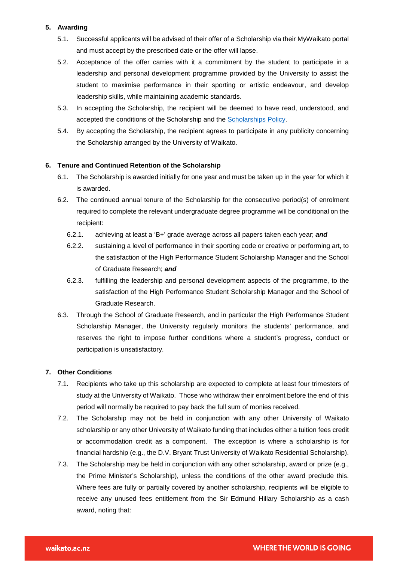## **5. Awarding**

- 5.1. Successful applicants will be advised of their offer of a Scholarship via their MyWaikato portal and must accept by the prescribed date or the offer will lapse.
- 5.2. Acceptance of the offer carries with it a commitment by the student to participate in a leadership and personal development programme provided by the University to assist the student to maximise performance in their sporting or artistic endeavour, and develop leadership skills, while maintaining academic standards.
- 5.3. In accepting the Scholarship, the recipient will be deemed to have read, understood, and accepted the conditions of the Scholarship and the [Scholarships Policy.](https://www.waikato.ac.nz/official-info/index/docs/scholarships-policy)
- 5.4. By accepting the Scholarship, the recipient agrees to participate in any publicity concerning the Scholarship arranged by the University of Waikato.

#### **6. Tenure and Continued Retention of the Scholarship**

- 6.1. The Scholarship is awarded initially for one year and must be taken up in the year for which it is awarded.
- 6.2. The continued annual tenure of the Scholarship for the consecutive period(s) of enrolment required to complete the relevant undergraduate degree programme will be conditional on the recipient:
	- 6.2.1. achieving at least a 'B+' grade average across all papers taken each year; *and*
	- 6.2.2. sustaining a level of performance in their sporting code or creative or performing art, to the satisfaction of the High Performance Student Scholarship Manager and the School of Graduate Research; *and*
	- 6.2.3. fulfilling the leadership and personal development aspects of the programme, to the satisfaction of the High Performance Student Scholarship Manager and the School of Graduate Research.
- 6.3. Through the School of Graduate Research, and in particular the High Performance Student Scholarship Manager, the University regularly monitors the students' performance, and reserves the right to impose further conditions where a student's progress, conduct or participation is unsatisfactory.

#### **7. Other Conditions**

- 7.1. Recipients who take up this scholarship are expected to complete at least four trimesters of study at the University of Waikato. Those who withdraw their enrolment before the end of this period will normally be required to pay back the full sum of monies received.
- 7.2. The Scholarship may not be held in conjunction with any other University of Waikato scholarship or any other University of Waikato funding that includes either a tuition fees credit or accommodation credit as a component. The exception is where a scholarship is for financial hardship (e.g., the D.V. Bryant Trust University of Waikato Residential Scholarship).
- 7.3. The Scholarship may be held in conjunction with any other scholarship, award or prize (e.g., the Prime Minister's Scholarship), unless the conditions of the other award preclude this. Where fees are fully or partially covered by another scholarship, recipients will be eligible to receive any unused fees entitlement from the Sir Edmund Hillary Scholarship as a cash award, noting that: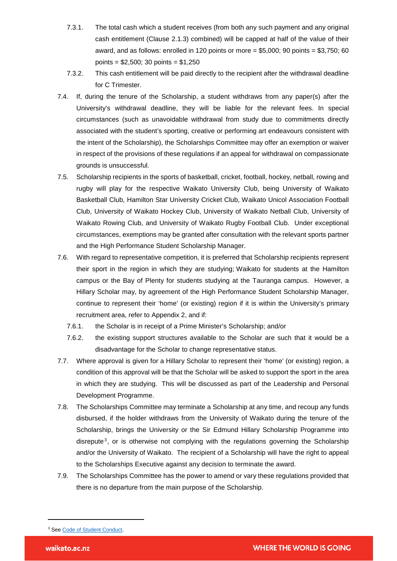- 7.3.1. The total cash which a student receives (from both any such payment and any original cash entitlement (Clause 2.1.3) combined) will be capped at half of the value of their award, and as follows: enrolled in 120 points or more  $= $5,000; 90$  points  $= $3,750; 60$ points = \$2,500; 30 points = \$1,250
- 7.3.2. This cash entitlement will be paid directly to the recipient after the withdrawal deadline for C Trimester.
- 7.4. If, during the tenure of the Scholarship, a student withdraws from any paper(s) after the University's withdrawal deadline, they will be liable for the relevant fees. In special circumstances (such as unavoidable withdrawal from study due to commitments directly associated with the student's sporting, creative or performing art endeavours consistent with the intent of the Scholarship), the Scholarships Committee may offer an exemption or waiver in respect of the provisions of these regulations if an appeal for withdrawal on compassionate grounds is unsuccessful.
- 7.5. Scholarship recipients in the sports of basketball, cricket, football, hockey, netball, rowing and rugby will play for the respective Waikato University Club, being University of Waikato Basketball Club, Hamilton Star University Cricket Club, Waikato Unicol Association Football Club, University of Waikato Hockey Club, University of Waikato Netball Club, University of Waikato Rowing Club, and University of Waikato Rugby Football Club. Under exceptional circumstances, exemptions may be granted after consultation with the relevant sports partner and the High Performance Student Scholarship Manager.
- 7.6. With regard to representative competition, it is preferred that Scholarship recipients represent their sport in the region in which they are studying; Waikato for students at the Hamilton campus or the Bay of Plenty for students studying at the Tauranga campus. However, a Hillary Scholar may, by agreement of the High Performance Student Scholarship Manager, continue to represent their 'home' (or existing) region if it is within the University's primary recruitment area, refer to Appendix 2, and if:
	- 7.6.1. the Scholar is in receipt of a Prime Minister's Scholarship; and/or
	- 7.6.2. the existing support structures available to the Scholar are such that it would be a disadvantage for the Scholar to change representative status.
- 7.7. Where approval is given for a Hillary Scholar to represent their 'home' (or existing) region, a condition of this approval will be that the Scholar will be asked to support the sport in the area in which they are studying. This will be discussed as part of the Leadership and Personal Development Programme.
- 7.8. The Scholarships Committee may terminate a Scholarship at any time, and recoup any funds disbursed, if the holder withdraws from the University of Waikato during the tenure of the Scholarship, brings the University or the Sir Edmund Hillary Scholarship Programme into disrepute<sup>[3](#page-4-0)</sup>, or is otherwise not complying with the regulations governing the Scholarship and/or the University of Waikato. The recipient of a Scholarship will have the right to appeal to the Scholarships Executive against any decision to terminate the award.
- 7.9. The Scholarships Committee has the power to amend or vary these regulations provided that there is no departure from the main purpose of the Scholarship.

<sup>—</sup>

<span id="page-4-0"></span><sup>&</sup>lt;sup>3</sup> Se[e Code of Student Conduct.](https://www.waikato.ac.nz/official-info/index/docs/code-of-student-conduct)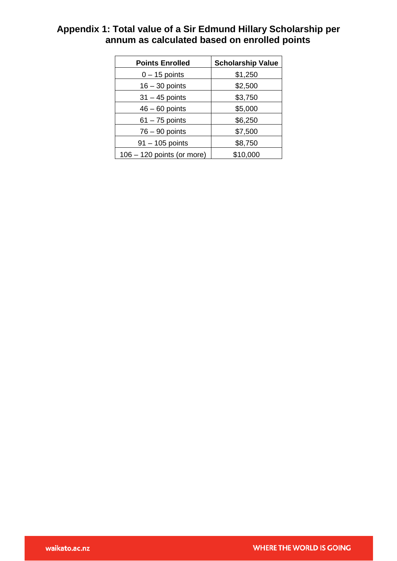| <b>Points Enrolled</b>       | <b>Scholarship Value</b> |
|------------------------------|--------------------------|
| $0 - 15$ points              | \$1,250                  |
| $16 - 30$ points             | \$2,500                  |
| $31 - 45$ points             | \$3,750                  |
| $46 - 60$ points             | \$5,000                  |
| $61 - 75$ points             | \$6,250                  |
| $76 - 90$ points             | \$7,500                  |
| $91 - 105$ points            | \$8,750                  |
| $106 - 120$ points (or more) | \$10,000                 |

# **Appendix 1: Total value of a Sir Edmund Hillary Scholarship per annum as calculated based on enrolled points**